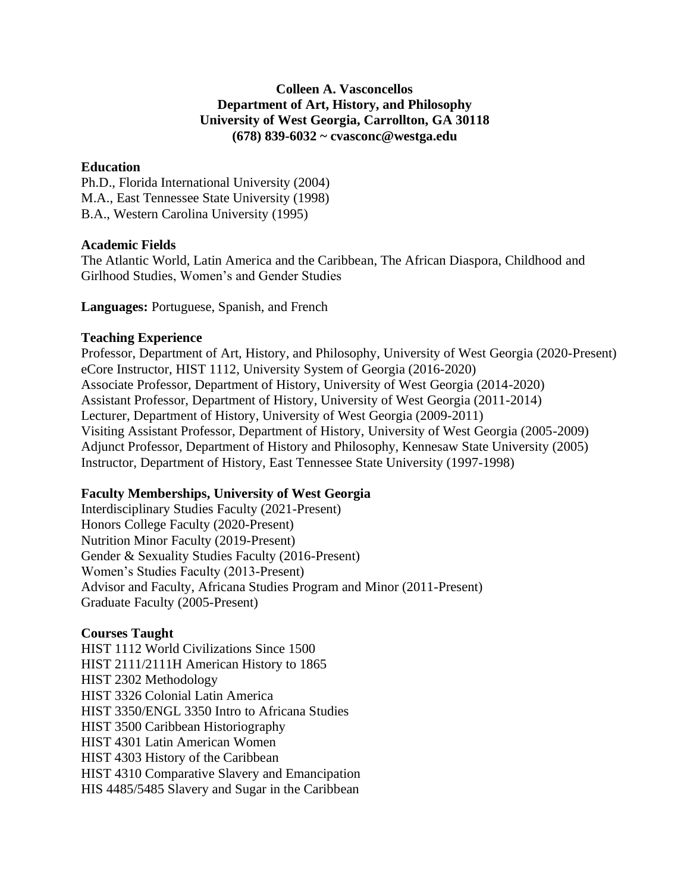## **Colleen A. Vasconcellos Department of Art, History, and Philosophy University of West Georgia, Carrollton, GA 30118 (678) 839-6032 ~ cvasconc@westga.edu**

### **Education**

Ph.D., Florida International University (2004) M.A., East Tennessee State University (1998) B.A., Western Carolina University (1995)

## **Academic Fields**

The Atlantic World, Latin America and the Caribbean, The African Diaspora, Childhood and Girlhood Studies, Women's and Gender Studies

**Languages:** Portuguese, Spanish, and French

## **Teaching Experience**

Professor, Department of Art, History, and Philosophy, University of West Georgia (2020-Present) eCore Instructor, HIST 1112, University System of Georgia (2016-2020) Associate Professor, Department of History, University of West Georgia (2014-2020) Assistant Professor, Department of History, University of West Georgia (2011-2014) Lecturer, Department of History, University of West Georgia (2009-2011) Visiting Assistant Professor, Department of History, University of West Georgia (2005-2009) Adjunct Professor, Department of History and Philosophy, Kennesaw State University (2005) Instructor, Department of History, East Tennessee State University (1997-1998)

# **Faculty Memberships, University of West Georgia**

Interdisciplinary Studies Faculty (2021-Present) Honors College Faculty (2020-Present) Nutrition Minor Faculty (2019-Present) Gender & Sexuality Studies Faculty (2016-Present) Women's Studies Faculty (2013-Present) Advisor and Faculty, Africana Studies Program and Minor (2011-Present) Graduate Faculty (2005-Present)

# **Courses Taught**

HIST 1112 World Civilizations Since 1500 HIST 2111/2111H American History to 1865 HIST 2302 Methodology HIST 3326 Colonial Latin America HIST 3350/ENGL 3350 Intro to Africana Studies HIST 3500 Caribbean Historiography HIST 4301 Latin American Women HIST 4303 History of the Caribbean HIST 4310 Comparative Slavery and Emancipation HIS 4485/5485 Slavery and Sugar in the Caribbean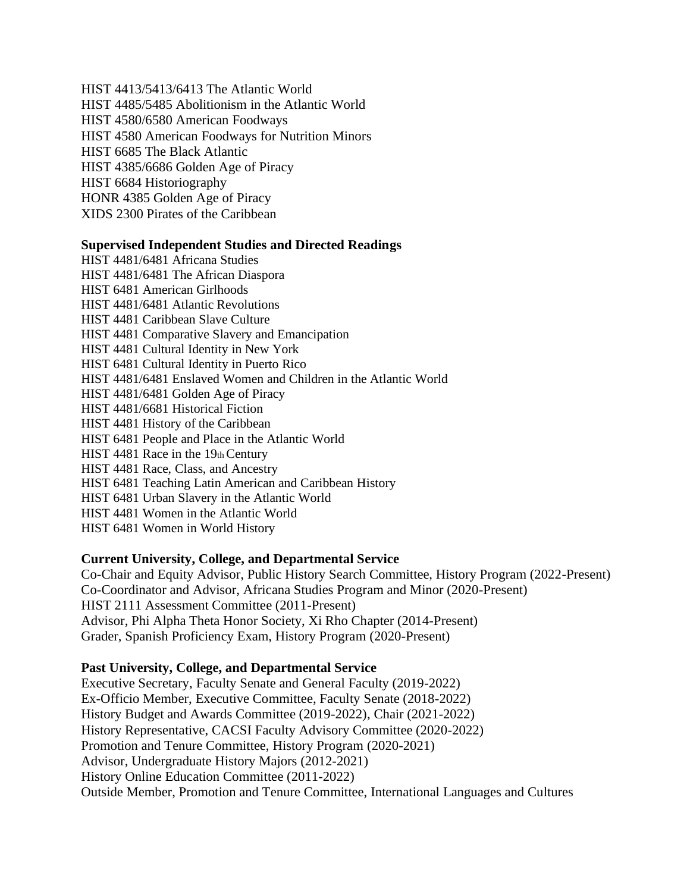HIST 4413/5413/6413 The Atlantic World HIST 4485/5485 Abolitionism in the Atlantic World HIST 4580/6580 American Foodways HIST 4580 American Foodways for Nutrition Minors HIST 6685 The Black Atlantic HIST 4385/6686 Golden Age of Piracy HIST 6684 Historiography HONR 4385 Golden Age of Piracy XIDS 2300 Pirates of the Caribbean

### **Supervised Independent Studies and Directed Readings**

HIST 4481/6481 Africana Studies HIST 4481/6481 The African Diaspora HIST 6481 American Girlhoods HIST 4481/6481 Atlantic Revolutions HIST 4481 Caribbean Slave Culture HIST 4481 Comparative Slavery and Emancipation HIST 4481 Cultural Identity in New York HIST 6481 Cultural Identity in Puerto Rico HIST 4481/6481 Enslaved Women and Children in the Atlantic World HIST 4481/6481 Golden Age of Piracy HIST 4481/6681 Historical Fiction HIST 4481 History of the Caribbean HIST 6481 People and Place in the Atlantic World HIST 4481 Race in the 19th Century HIST 4481 Race, Class, and Ancestry HIST 6481 Teaching Latin American and Caribbean History HIST 6481 Urban Slavery in the Atlantic World HIST 4481 Women in the Atlantic World HIST 6481 Women in World History

### **Current University, College, and Departmental Service**

Co-Chair and Equity Advisor, Public History Search Committee, History Program (2022-Present) Co-Coordinator and Advisor, Africana Studies Program and Minor (2020-Present) HIST 2111 Assessment Committee (2011-Present) Advisor, Phi Alpha Theta Honor Society, Xi Rho Chapter (2014-Present) Grader, Spanish Proficiency Exam, History Program (2020-Present)

#### **Past University, College, and Departmental Service**

Executive Secretary, Faculty Senate and General Faculty (2019-2022) Ex-Officio Member, Executive Committee, Faculty Senate (2018-2022) History Budget and Awards Committee (2019-2022), Chair (2021-2022) History Representative, CACSI Faculty Advisory Committee (2020-2022) Promotion and Tenure Committee, History Program (2020-2021) Advisor, Undergraduate History Majors (2012-2021) History Online Education Committee (2011-2022) Outside Member, Promotion and Tenure Committee, International Languages and Cultures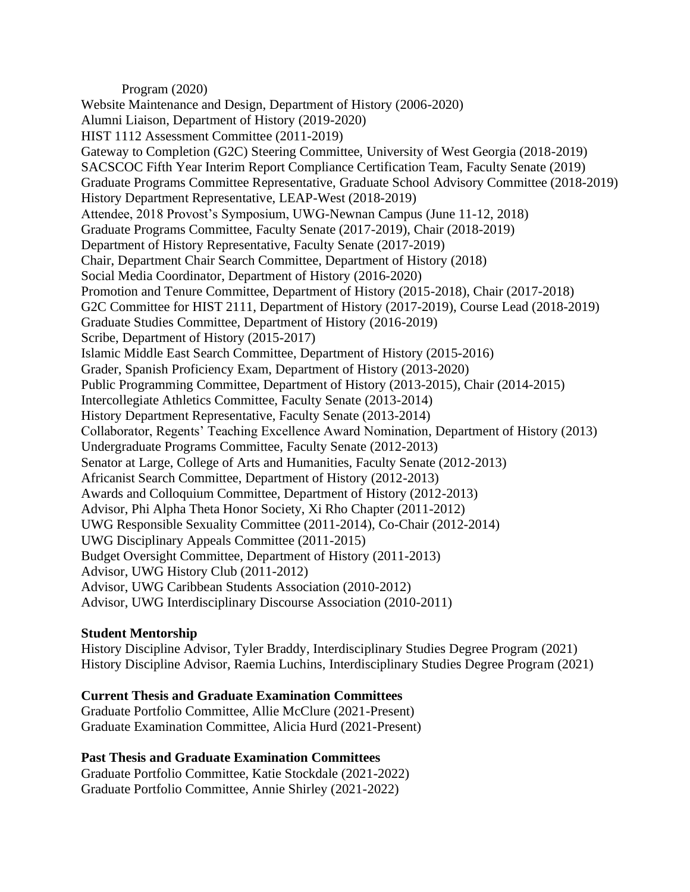#### Program (2020)

Website Maintenance and Design, Department of History (2006-2020) Alumni Liaison, Department of History (2019-2020) HIST 1112 Assessment Committee (2011-2019) Gateway to Completion (G2C) Steering Committee, University of West Georgia (2018-2019) SACSCOC Fifth Year Interim Report Compliance Certification Team, Faculty Senate (2019) Graduate Programs Committee Representative, Graduate School Advisory Committee (2018-2019) History Department Representative, LEAP-West (2018-2019) Attendee, 2018 Provost's Symposium, UWG-Newnan Campus (June 11-12, 2018) Graduate Programs Committee, Faculty Senate (2017-2019), Chair (2018-2019) Department of History Representative, Faculty Senate (2017-2019) Chair, Department Chair Search Committee, Department of History (2018) Social Media Coordinator, Department of History (2016-2020) Promotion and Tenure Committee, Department of History (2015-2018), Chair (2017-2018) G2C Committee for HIST 2111, Department of History (2017-2019), Course Lead (2018-2019) Graduate Studies Committee, Department of History (2016-2019) Scribe, Department of History (2015-2017) Islamic Middle East Search Committee, Department of History (2015-2016) Grader, Spanish Proficiency Exam, Department of History (2013-2020) Public Programming Committee, Department of History (2013-2015), Chair (2014-2015) Intercollegiate Athletics Committee, Faculty Senate (2013-2014) History Department Representative, Faculty Senate (2013-2014) Collaborator, Regents' Teaching Excellence Award Nomination, Department of History (2013) Undergraduate Programs Committee, Faculty Senate (2012-2013) Senator at Large, College of Arts and Humanities, Faculty Senate (2012-2013) Africanist Search Committee, Department of History (2012-2013) Awards and Colloquium Committee, Department of History (2012-2013) Advisor, Phi Alpha Theta Honor Society, Xi Rho Chapter (2011-2012) UWG Responsible Sexuality Committee (2011-2014), Co-Chair (2012-2014) UWG Disciplinary Appeals Committee (2011-2015) Budget Oversight Committee, Department of History (2011-2013) Advisor, UWG History Club (2011-2012) Advisor, UWG Caribbean Students Association (2010-2012) Advisor, UWG Interdisciplinary Discourse Association (2010-2011)

# **Student Mentorship**

History Discipline Advisor, Tyler Braddy, Interdisciplinary Studies Degree Program (2021) History Discipline Advisor, Raemia Luchins, Interdisciplinary Studies Degree Program (2021)

### **Current Thesis and Graduate Examination Committees**

Graduate Portfolio Committee, Allie McClure (2021-Present) Graduate Examination Committee, Alicia Hurd (2021-Present)

**Past Thesis and Graduate Examination Committees** Graduate Portfolio Committee, Katie Stockdale (2021-2022) Graduate Portfolio Committee, Annie Shirley (2021-2022)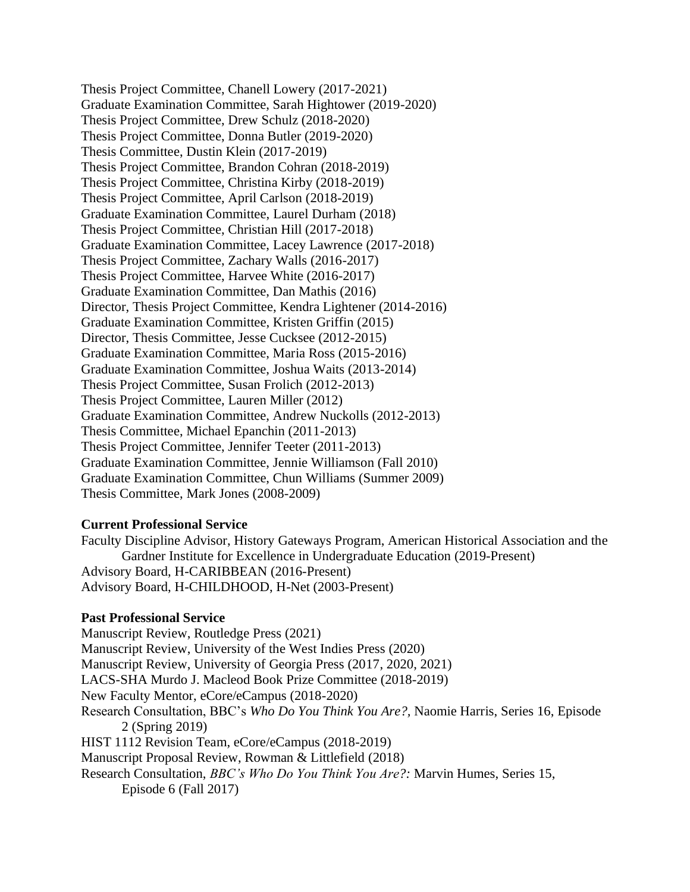Thesis Project Committee, Chanell Lowery (2017-2021) Graduate Examination Committee, Sarah Hightower (2019-2020) Thesis Project Committee, Drew Schulz (2018-2020) Thesis Project Committee, Donna Butler (2019-2020) Thesis Committee, Dustin Klein (2017-2019) Thesis Project Committee, Brandon Cohran (2018-2019) Thesis Project Committee, Christina Kirby (2018-2019) Thesis Project Committee, April Carlson (2018-2019) Graduate Examination Committee, Laurel Durham (2018) Thesis Project Committee, Christian Hill (2017-2018) Graduate Examination Committee, Lacey Lawrence (2017-2018) Thesis Project Committee, Zachary Walls (2016-2017) Thesis Project Committee, Harvee White (2016-2017) Graduate Examination Committee, Dan Mathis (2016) Director, Thesis Project Committee, Kendra Lightener (2014-2016) Graduate Examination Committee, Kristen Griffin (2015) Director, Thesis Committee, Jesse Cucksee (2012-2015) Graduate Examination Committee, Maria Ross (2015-2016) Graduate Examination Committee, Joshua Waits (2013-2014) Thesis Project Committee, Susan Frolich (2012-2013) Thesis Project Committee, Lauren Miller (2012) Graduate Examination Committee, Andrew Nuckolls (2012-2013) Thesis Committee, Michael Epanchin (2011-2013) Thesis Project Committee, Jennifer Teeter (2011-2013) Graduate Examination Committee, Jennie Williamson (Fall 2010) Graduate Examination Committee, Chun Williams (Summer 2009) Thesis Committee, Mark Jones (2008-2009)

### **Current Professional Service**

Faculty Discipline Advisor, History Gateways Program, American Historical Association and the Gardner Institute for Excellence in Undergraduate Education (2019-Present) Advisory Board, H-CARIBBEAN (2016-Present) Advisory Board, H-CHILDHOOD, H-Net (2003-Present)

#### **Past Professional Service**

Manuscript Review, Routledge Press (2021) Manuscript Review, University of the West Indies Press (2020) Manuscript Review, University of Georgia Press (2017, 2020, 2021) LACS-SHA Murdo J. Macleod Book Prize Committee (2018-2019) New Faculty Mentor, eCore/eCampus (2018-2020) Research Consultation, BBC's *Who Do You Think You Are?,* Naomie Harris, Series 16, Episode 2 (Spring 2019) HIST 1112 Revision Team, eCore/eCampus (2018-2019) Manuscript Proposal Review, Rowman & Littlefield (2018) Research Consultation, *BBC's Who Do You Think You Are?:* Marvin Humes, Series 15, Episode 6 (Fall 2017)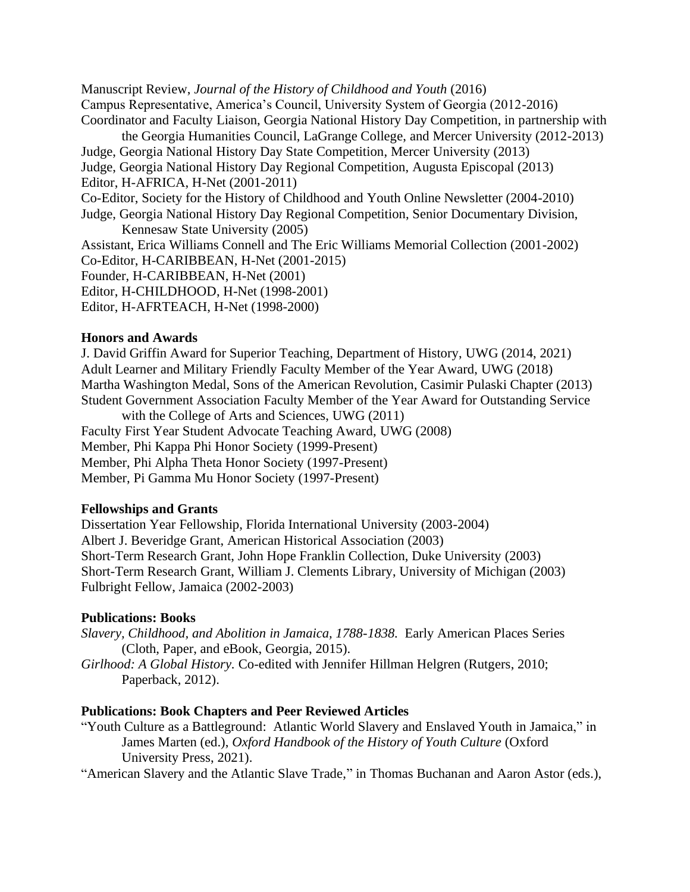Manuscript Review, *Journal of the History of Childhood and Youth* (2016) Campus Representative, America's Council, University System of Georgia (2012-2016) Coordinator and Faculty Liaison, Georgia National History Day Competition, in partnership with the Georgia Humanities Council, LaGrange College, and Mercer University (2012-2013) Judge, Georgia National History Day State Competition, Mercer University (2013) Judge, Georgia National History Day Regional Competition, Augusta Episcopal (2013) Editor, H-AFRICA, H-Net (2001-2011) Co-Editor, Society for the History of Childhood and Youth Online Newsletter (2004-2010) Judge, Georgia National History Day Regional Competition, Senior Documentary Division, Kennesaw State University (2005) Assistant, Erica Williams Connell and The Eric Williams Memorial Collection (2001-2002) Co-Editor, H-CARIBBEAN, H-Net (2001-2015) Founder, H-CARIBBEAN, H-Net (2001) Editor, H-CHILDHOOD, H-Net (1998-2001) Editor, H-AFRTEACH, H-Net (1998-2000)

### **Honors and Awards**

J. David Griffin Award for Superior Teaching, Department of History, UWG (2014, 2021) Adult Learner and Military Friendly Faculty Member of the Year Award, UWG (2018) Martha Washington Medal, Sons of the American Revolution, Casimir Pulaski Chapter (2013) Student Government Association Faculty Member of the Year Award for Outstanding Service with the College of Arts and Sciences, UWG (2011) Faculty First Year Student Advocate Teaching Award, UWG (2008) Member, Phi Kappa Phi Honor Society (1999-Present) Member, Phi Alpha Theta Honor Society (1997-Present) Member, Pi Gamma Mu Honor Society (1997-Present)

### **Fellowships and Grants**

Dissertation Year Fellowship, Florida International University (2003-2004) Albert J. Beveridge Grant, American Historical Association (2003) Short-Term Research Grant, John Hope Franklin Collection, Duke University (2003) Short-Term Research Grant, William J. Clements Library, University of Michigan (2003) Fulbright Fellow, Jamaica (2002-2003)

# **Publications: Books**

*Slavery, Childhood, and Abolition in Jamaica, 1788-1838.* Early American Places Series (Cloth, Paper, and eBook, Georgia, 2015).

*Girlhood: A Global History.* Co-edited with Jennifer Hillman Helgren (Rutgers, 2010; Paperback, 2012).

# **Publications: Book Chapters and Peer Reviewed Articles**

"Youth Culture as a Battleground: Atlantic World Slavery and Enslaved Youth in Jamaica," in James Marten (ed.), *Oxford Handbook of the History of Youth Culture* (Oxford University Press, 2021).

"American Slavery and the Atlantic Slave Trade," in Thomas Buchanan and Aaron Astor (eds.),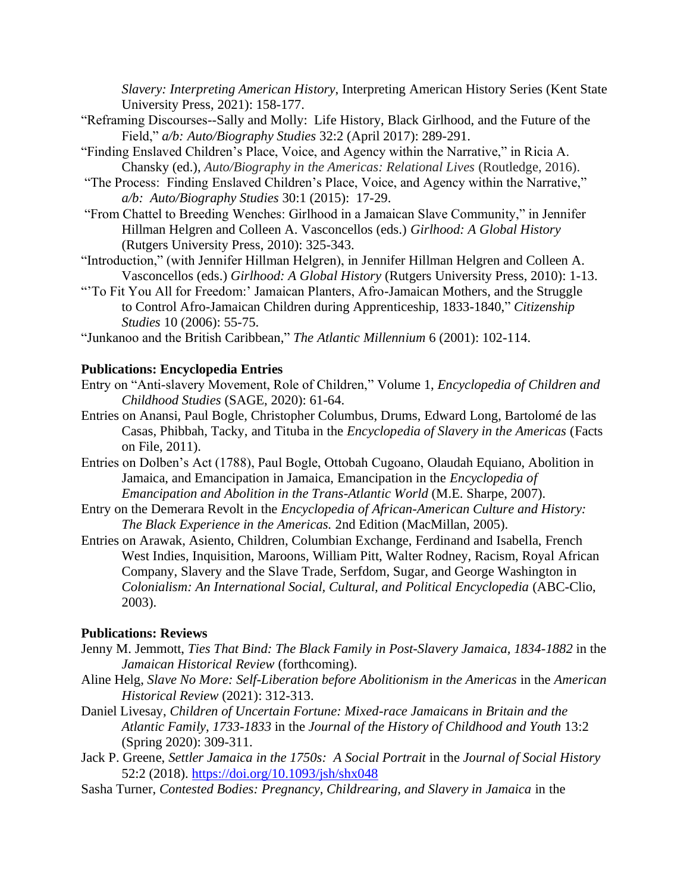*Slavery: Interpreting American History*, Interpreting American History Series (Kent State University Press, 2021): 158-177.

- "Reframing Discourses--Sally and Molly: Life History, Black Girlhood, and the Future of the Field," *a/b: Auto/Biography Studies* 32:2 (April 2017): 289-291.
- "Finding Enslaved Children's Place, Voice, and Agency within the Narrative," in Ricia A. Chansky (ed.), *Auto/Biography in the Americas: Relational Lives* (Routledge, 2016).
- "The Process: Finding Enslaved Children's Place, Voice, and Agency within the Narrative," *a/b: Auto/Biography Studies* 30:1 (2015): 17-29.
- "From Chattel to Breeding Wenches: Girlhood in a Jamaican Slave Community," in Jennifer Hillman Helgren and Colleen A. Vasconcellos (eds.) *Girlhood: A Global History*  (Rutgers University Press, 2010): 325-343.
- "Introduction," (with Jennifer Hillman Helgren), in Jennifer Hillman Helgren and Colleen A. Vasconcellos (eds.) *Girlhood: A Global History* (Rutgers University Press, 2010): 1-13.
- "'To Fit You All for Freedom:' Jamaican Planters, Afro-Jamaican Mothers, and the Struggle to Control Afro-Jamaican Children during Apprenticeship, 1833-1840," *Citizenship Studies* 10 (2006): 55-75.
- "Junkanoo and the British Caribbean," *The Atlantic Millennium* 6 (2001): 102-114.

#### **Publications: Encyclopedia Entries**

- Entry on "Anti-slavery Movement, Role of Children," Volume 1, *Encyclopedia of Children and Childhood Studies* (SAGE, 2020): 61-64.
- Entries on Anansi, Paul Bogle, Christopher Columbus, Drums, Edward Long, Bartolomé de las Casas, Phibbah, Tacky, and Tituba in the *Encyclopedia of Slavery in the Americas* (Facts on File, 2011).
- Entries on Dolben's Act (1788), Paul Bogle, Ottobah Cugoano, Olaudah Equiano, Abolition in Jamaica, and Emancipation in Jamaica, Emancipation in the *Encyclopedia of Emancipation and Abolition in the Trans-Atlantic World* (M.E. Sharpe, 2007).
- Entry on the Demerara Revolt in the *Encyclopedia of African-American Culture and History: The Black Experience in the Americas.* 2nd Edition (MacMillan, 2005).
- Entries on Arawak, Asiento, Children, Columbian Exchange, Ferdinand and Isabella, French West Indies, Inquisition, Maroons, William Pitt, Walter Rodney, Racism, Royal African Company, Slavery and the Slave Trade, Serfdom, Sugar, and George Washington in *Colonialism: An International Social, Cultural, and Political Encyclopedia* (ABC-Clio, 2003).

#### **Publications: Reviews**

- Jenny M. Jemmott, *Ties That Bind: The Black Family in Post-Slavery Jamaica, 1834-1882* in the *Jamaican Historical Review* (forthcoming).
- Aline Helg, *Slave No More: Self-Liberation before Abolitionism in the Americas* in the *American Historical Review* (2021): 312-313.
- Daniel Livesay, *Children of Uncertain Fortune: Mixed-race Jamaicans in Britain and the Atlantic Family, 1733-1833* in the *Journal of the History of Childhood and Youth* 13:2 (Spring 2020): 309-311.
- Jack P. Greene, *Settler Jamaica in the 1750s: A Social Portrait* in the *Journal of Social History* 52:2 (2018). <https://doi.org/10.1093/jsh/shx048>
- Sasha Turner, *Contested Bodies: Pregnancy, Childrearing, and Slavery in Jamaica* in the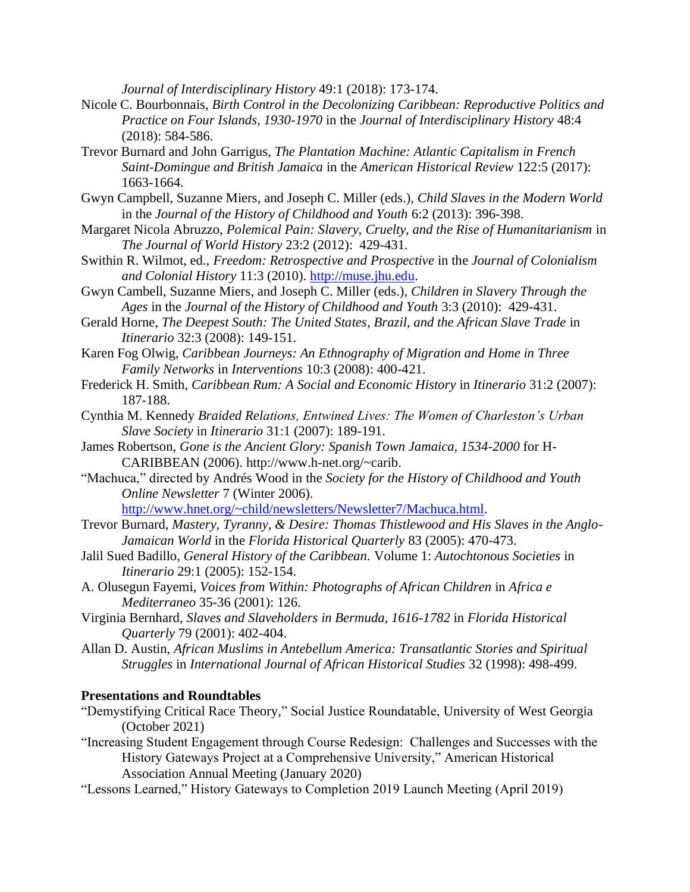*Journal of Interdisciplinary History* 49:1 (2018): 173-174.

- Nicole C. Bourbonnais, *Birth Control in the Decolonizing Caribbean: Reproductive Politics and Practice on Four Islands, 1930-1970* in the *Journal of Interdisciplinary History* 48:4 (2018): 584-586.
- Trevor Burnard and John Garrigus, *The Plantation Machine: Atlantic Capitalism in French Saint-Domingue and British Jamaica* in the *American Historical Review* 122:5 (2017): 1663-1664.
- Gwyn Campbell, Suzanne Miers, and Joseph C. Miller (eds.), *Child Slaves in the Modern World*  in the *Journal of the History of Childhood and Youth* 6:2 (2013): 396-398.
- Margaret Nicola Abruzzo, *Polemical Pain: Slavery, Cruelty, and the Rise of Humanitarianism* in *The Journal of World History* 23:2 (2012): 429-431.
- Swithin R. Wilmot, ed., *Freedom: Retrospective and Prospective* in the *Journal of Colonialism and Colonial History* 11:3 (2010). [http://muse.jhu.edu.](http://muse.jhu.edu/)
- Gwyn Cambell, Suzanne Miers, and Joseph C. Miller (eds.), *Children in Slavery Through the Ages* in the *Journal of the History of Childhood and Youth* 3:3 (2010): 429-431.
- Gerald Horne, *The Deepest South: The United States, Brazil, and the African Slave Trade* in *Itinerario* 32:3 (2008): 149-151.
- Karen Fog Olwig, *Caribbean Journeys: An Ethnography of Migration and Home in Three Family Networks* in *Interventions* 10:3 (2008): 400-421.
- Frederick H. Smith, *Caribbean Rum: A Social and Economic History* in *Itinerario* 31:2 (2007): 187-188.
- Cynthia M. Kennedy *Braided Relations, Entwined Lives: The Women of Charleston's Urban Slave Society* in *Itinerario* 31:1 (2007): 189-191.
- James Robertson, *Gone is the Ancient Glory: Spanish Town Jamaica, 1534-2000* for H-CARIBBEAN (2006). http://www.h-net.org/~carib.
- "Machuca," directed by Andrés Wood in the *Society for the History of Childhood and Youth Online Newsletter* 7 (Winter 2006).

[http://www.hnet.org/~child/newsletters/Newsletter7/Machuca.html.](http://www.hnet.org/~child/newsletters/Newsletter7/Machuca.html)

- Trevor Burnard, *Mastery, Tyranny, & Desire: Thomas Thistlewood and His Slaves in the Anglo-Jamaican World* in the *Florida Historical Quarterly* 83 (2005): 470-473.
- Jalil Sued Badillo, *General History of the Caribbean.* Volume 1: *Autochtonous Societies* in *Itinerario* 29:1 (2005): 152-154.
- A. Olusegun Fayemi, *Voices from Within: Photographs of African Children* in *Africa e Mediterraneo* 35-36 (2001): 126.
- Virginia Bernhard, *Slaves and Slaveholders in Bermuda, 1616-1782* in *Florida Historical Quarterly* 79 (2001): 402-404.
- Allan D. Austin, *African Muslims in Antebellum America: Transatlantic Stories and Spiritual Struggles* in *International Journal of African Historical Studies* 32 (1998): 498-499.

### **Presentations and Roundtables**

- "Demystifying Critical Race Theory," Social Justice Roundatable, University of West Georgia (October 2021)
- "Increasing Student Engagement through Course Redesign: Challenges and Successes with the History Gateways Project at a Comprehensive University," American Historical Association Annual Meeting (January 2020)
- "Lessons Learned," History Gateways to Completion 2019 Launch Meeting (April 2019)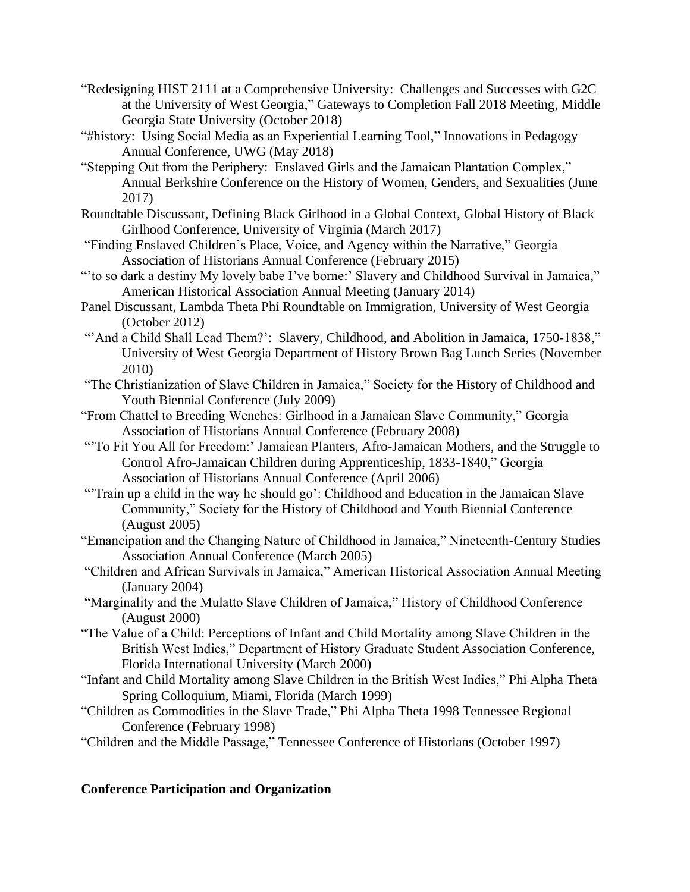- "Redesigning HIST 2111 at a Comprehensive University: Challenges and Successes with G2C at the University of West Georgia," Gateways to Completion Fall 2018 Meeting, Middle Georgia State University (October 2018)
- "#history: Using Social Media as an Experiential Learning Tool," Innovations in Pedagogy Annual Conference, UWG (May 2018)
- "Stepping Out from the Periphery: Enslaved Girls and the Jamaican Plantation Complex," Annual Berkshire Conference on the History of Women, Genders, and Sexualities (June 2017)
- Roundtable Discussant, Defining Black Girlhood in a Global Context, Global History of Black Girlhood Conference, University of Virginia (March 2017)
- "Finding Enslaved Children's Place, Voice, and Agency within the Narrative," Georgia Association of Historians Annual Conference (February 2015)
- "'to so dark a destiny My lovely babe I've borne:' Slavery and Childhood Survival in Jamaica," American Historical Association Annual Meeting (January 2014)
- Panel Discussant, Lambda Theta Phi Roundtable on Immigration, University of West Georgia (October 2012)
- "'And a Child Shall Lead Them?': Slavery, Childhood, and Abolition in Jamaica, 1750-1838," University of West Georgia Department of History Brown Bag Lunch Series (November 2010)
- "The Christianization of Slave Children in Jamaica," Society for the History of Childhood and Youth Biennial Conference (July 2009)
- "From Chattel to Breeding Wenches: Girlhood in a Jamaican Slave Community," Georgia Association of Historians Annual Conference (February 2008)
- "'To Fit You All for Freedom:' Jamaican Planters, Afro-Jamaican Mothers, and the Struggle to Control Afro-Jamaican Children during Apprenticeship, 1833-1840," Georgia Association of Historians Annual Conference (April 2006)
- "'Train up a child in the way he should go': Childhood and Education in the Jamaican Slave Community," Society for the History of Childhood and Youth Biennial Conference (August 2005)
- "Emancipation and the Changing Nature of Childhood in Jamaica," Nineteenth-Century Studies Association Annual Conference (March 2005)
- "Children and African Survivals in Jamaica," American Historical Association Annual Meeting (January 2004)
- "Marginality and the Mulatto Slave Children of Jamaica," History of Childhood Conference (August 2000)
- "The Value of a Child: Perceptions of Infant and Child Mortality among Slave Children in the British West Indies," Department of History Graduate Student Association Conference, Florida International University (March 2000)
- "Infant and Child Mortality among Slave Children in the British West Indies," Phi Alpha Theta Spring Colloquium, Miami, Florida (March 1999)
- "Children as Commodities in the Slave Trade," Phi Alpha Theta 1998 Tennessee Regional Conference (February 1998)
- "Children and the Middle Passage," Tennessee Conference of Historians (October 1997)

# **Conference Participation and Organization**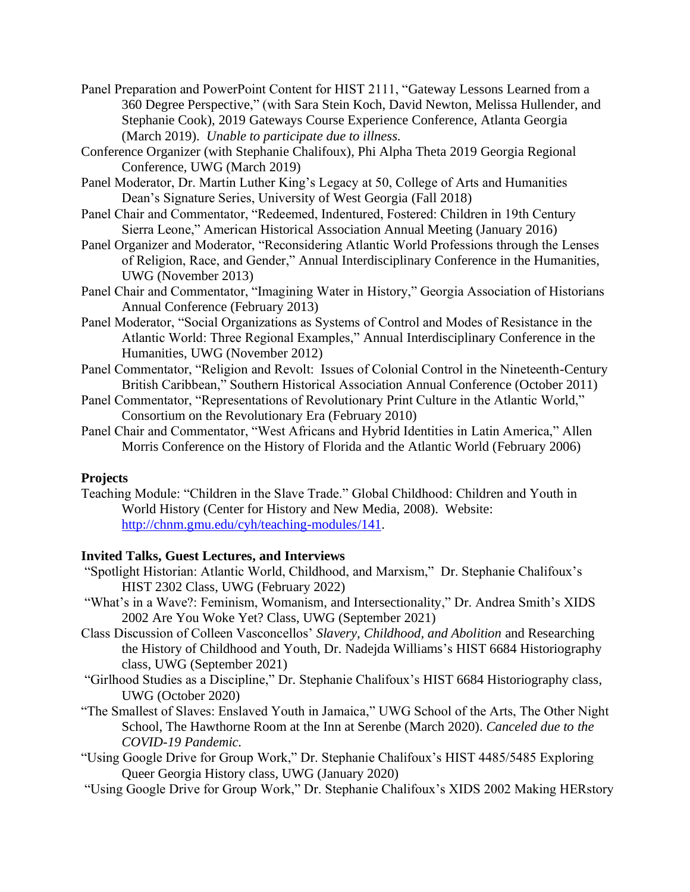- Panel Preparation and PowerPoint Content for HIST 2111, "Gateway Lessons Learned from a 360 Degree Perspective," (with Sara Stein Koch, David Newton, Melissa Hullender, and Stephanie Cook), 2019 Gateways Course Experience Conference, Atlanta Georgia (March 2019). *Unable to participate due to illness.*
- Conference Organizer (with Stephanie Chalifoux), Phi Alpha Theta 2019 Georgia Regional Conference, UWG (March 2019)
- Panel Moderator, Dr. Martin Luther King's Legacy at 50, College of Arts and Humanities Dean's Signature Series, University of West Georgia (Fall 2018)
- Panel Chair and Commentator, "Redeemed, Indentured, Fostered: Children in 19th Century Sierra Leone," American Historical Association Annual Meeting (January 2016)
- Panel Organizer and Moderator, "Reconsidering Atlantic World Professions through the Lenses of Religion, Race, and Gender," Annual Interdisciplinary Conference in the Humanities, UWG (November 2013)
- Panel Chair and Commentator, "Imagining Water in History," Georgia Association of Historians Annual Conference (February 2013)
- Panel Moderator, "Social Organizations as Systems of Control and Modes of Resistance in the Atlantic World: Three Regional Examples," Annual Interdisciplinary Conference in the Humanities, UWG (November 2012)
- Panel Commentator, "Religion and Revolt: Issues of Colonial Control in the Nineteenth-Century British Caribbean," Southern Historical Association Annual Conference (October 2011)
- Panel Commentator, "Representations of Revolutionary Print Culture in the Atlantic World," Consortium on the Revolutionary Era (February 2010)
- Panel Chair and Commentator, "West Africans and Hybrid Identities in Latin America," Allen Morris Conference on the History of Florida and the Atlantic World (February 2006)

# **Projects**

Teaching Module: "Children in the Slave Trade." Global Childhood: Children and Youth in World History (Center for History and New Media, 2008). Website: [http://chnm.gmu.edu/cyh/teaching-modules/141.](http://chnm.gmu.edu/cyh/teaching-modules/141)

# **Invited Talks, Guest Lectures, and Interviews**

- "Spotlight Historian: Atlantic World, Childhood, and Marxism," Dr. Stephanie Chalifoux's HIST 2302 Class, UWG (February 2022)
- "What's in a Wave?: Feminism, Womanism, and Intersectionality," Dr. Andrea Smith's XIDS 2002 Are You Woke Yet? Class, UWG (September 2021)
- Class Discussion of Colleen Vasconcellos' *Slavery, Childhood, and Abolition* and Researching the History of Childhood and Youth, Dr. Nadejda Williams's HIST 6684 Historiography class, UWG (September 2021)
- "Girlhood Studies as a Discipline," Dr. Stephanie Chalifoux's HIST 6684 Historiography class, UWG (October 2020)
- "The Smallest of Slaves: Enslaved Youth in Jamaica," UWG School of the Arts, The Other Night School, The Hawthorne Room at the Inn at Serenbe (March 2020). *Canceled due to the COVID-19 Pandemic.*
- "Using Google Drive for Group Work," Dr. Stephanie Chalifoux's HIST 4485/5485 Exploring Queer Georgia History class, UWG (January 2020)
- "Using Google Drive for Group Work," Dr. Stephanie Chalifoux's XIDS 2002 Making HERstory